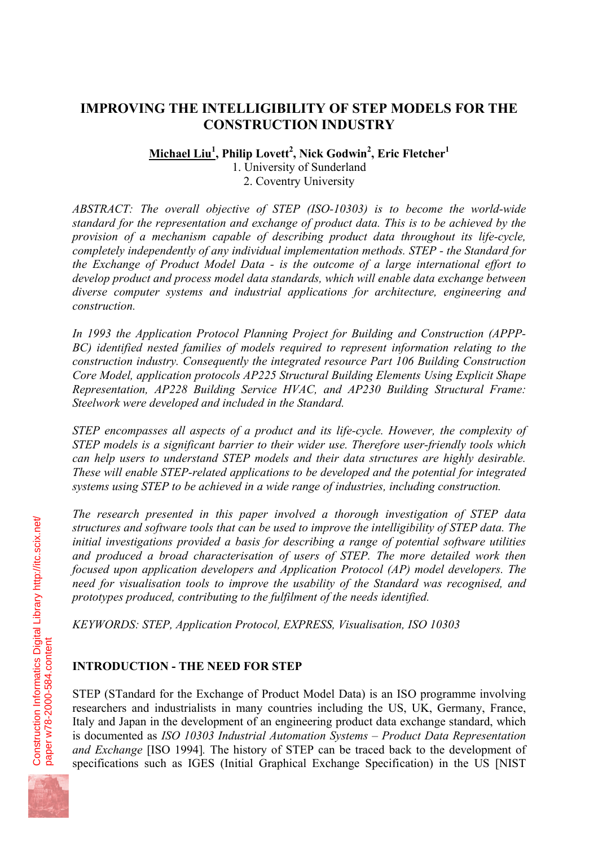# **IMPROVING THE INTELLIGIBILITY OF STEP MODELS FOR THE CONSTRUCTION INDUSTRY**

**Michael Liu<sup>1</sup> , Philip Lovett<sup>2</sup> , Nick Godwin<sup>2</sup> , Eric Fletcher<sup>1</sup>**

1. University of Sunderland 2. Coventry University

*ABSTRACT: The overall objective of STEP (ISO-10303) is to become the world-wide standard for the representation and exchange of product data. This is to be achieved by the provision of a mechanism capable of describing product data throughout its life-cycle, completely independently of any individual implementation methods. STEP - the Standard for the Exchange of Product Model Data - is the outcome of a large international effort to develop product and process model data standards, which will enable data exchange between diverse computer systems and industrial applications for architecture, engineering and construction.* 

*In 1993 the Application Protocol Planning Project for Building and Construction (APPP-BC) identified nested families of models required to represent information relating to the construction industry. Consequently the integrated resource Part 106 Building Construction Core Model, application protocols AP225 Structural Building Elements Using Explicit Shape Representation, AP228 Building Service HVAC, and AP230 Building Structural Frame: Steelwork were developed and included in the Standard.* 

*STEP encompasses all aspects of a product and its life-cycle. However, the complexity of STEP models is a significant barrier to their wider use. Therefore user-friendly tools which can help users to understand STEP models and their data structures are highly desirable. These will enable STEP-related applications to be developed and the potential for integrated systems using STEP to be achieved in a wide range of industries, including construction.* 

*The research presented in this paper involved a thorough investigation of STEP data structures and software tools that can be used to improve the intelligibility of STEP data. The initial investigations provided a basis for describing a range of potential software utilities and produced a broad characterisation of users of STEP. The more detailed work then focused upon application developers and Application Protocol (AP) model developers. The need for visualisation tools to improve the usability of the Standard was recognised, and prototypes produced, contributing to the fulfilment of the needs identified.* 

*KEYWORDS: STEP, Application Protocol, EXPRESS, Visualisation, ISO 10303* 

# **INTRODUCTION - THE NEED FOR STEP**

STEP (STandard for the Exchange of Product Model Data) is an ISO programme involving researchers and industrialists in many countries including the US, UK, Germany, France, Italy and Japan in the development of an engineering product data exchange standard, which is documented as *ISO 10303 Industrial Automation Systems – Product Data Representation and Exchange* [ISO 1994]*.* The history of STEP can be traced back to the development of specifications such as IGES (Initial Graphical Exchange Specification) in the US [NIST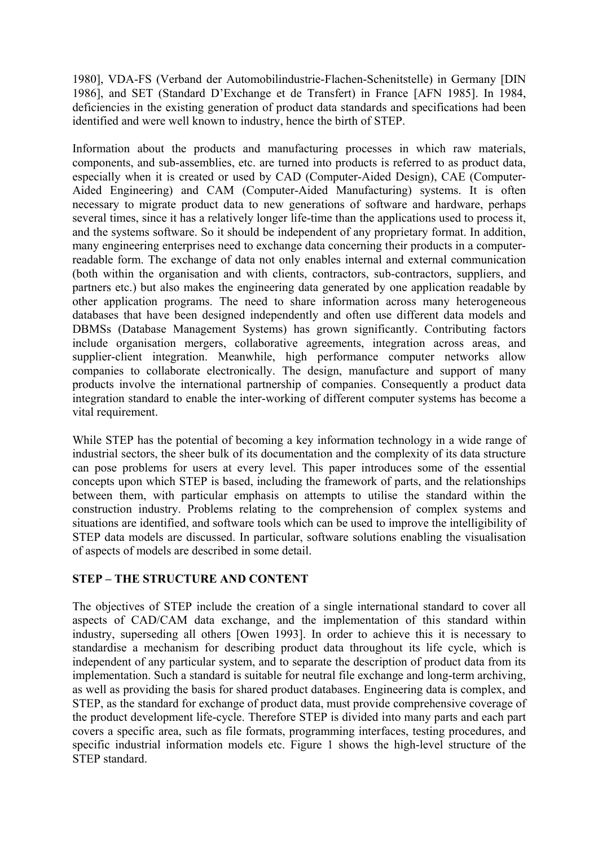1980], VDA-FS (Verband der Automobilindustrie-Flachen-Schenitstelle) in Germany [DIN 1986], and SET (Standard D'Exchange et de Transfert) in France [AFN 1985]. In 1984, deficiencies in the existing generation of product data standards and specifications had been identified and were well known to industry, hence the birth of STEP.

Information about the products and manufacturing processes in which raw materials, components, and sub-assemblies, etc. are turned into products is referred to as product data, especially when it is created or used by CAD (Computer-Aided Design), CAE (Computer-Aided Engineering) and CAM (Computer-Aided Manufacturing) systems. It is often necessary to migrate product data to new generations of software and hardware, perhaps several times, since it has a relatively longer life-time than the applications used to process it, and the systems software. So it should be independent of any proprietary format. In addition, many engineering enterprises need to exchange data concerning their products in a computerreadable form. The exchange of data not only enables internal and external communication (both within the organisation and with clients, contractors, sub-contractors, suppliers, and partners etc.) but also makes the engineering data generated by one application readable by other application programs. The need to share information across many heterogeneous databases that have been designed independently and often use different data models and DBMSs (Database Management Systems) has grown significantly. Contributing factors include organisation mergers, collaborative agreements, integration across areas, and supplier-client integration. Meanwhile, high performance computer networks allow companies to collaborate electronically. The design, manufacture and support of many products involve the international partnership of companies. Consequently a product data integration standard to enable the inter-working of different computer systems has become a vital requirement.

While STEP has the potential of becoming a key information technology in a wide range of industrial sectors, the sheer bulk of its documentation and the complexity of its data structure can pose problems for users at every level. This paper introduces some of the essential concepts upon which STEP is based, including the framework of parts, and the relationships between them, with particular emphasis on attempts to utilise the standard within the construction industry. Problems relating to the comprehension of complex systems and situations are identified, and software tools which can be used to improve the intelligibility of STEP data models are discussed. In particular, software solutions enabling the visualisation of aspects of models are described in some detail.

## **STEP – THE STRUCTURE AND CONTENT**

The objectives of STEP include the creation of a single international standard to cover all aspects of CAD/CAM data exchange, and the implementation of this standard within industry, superseding all others [Owen 1993]. In order to achieve this it is necessary to standardise a mechanism for describing product data throughout its life cycle, which is independent of any particular system, and to separate the description of product data from its implementation. Such a standard is suitable for neutral file exchange and long-term archiving, as well as providing the basis for shared product databases. Engineering data is complex, and STEP, as the standard for exchange of product data, must provide comprehensive coverage of the product development life-cycle. Therefore STEP is divided into many parts and each part covers a specific area, such as file formats, programming interfaces, testing procedures, and specific industrial information models etc. Figure 1 shows the high-level structure of the STEP standard.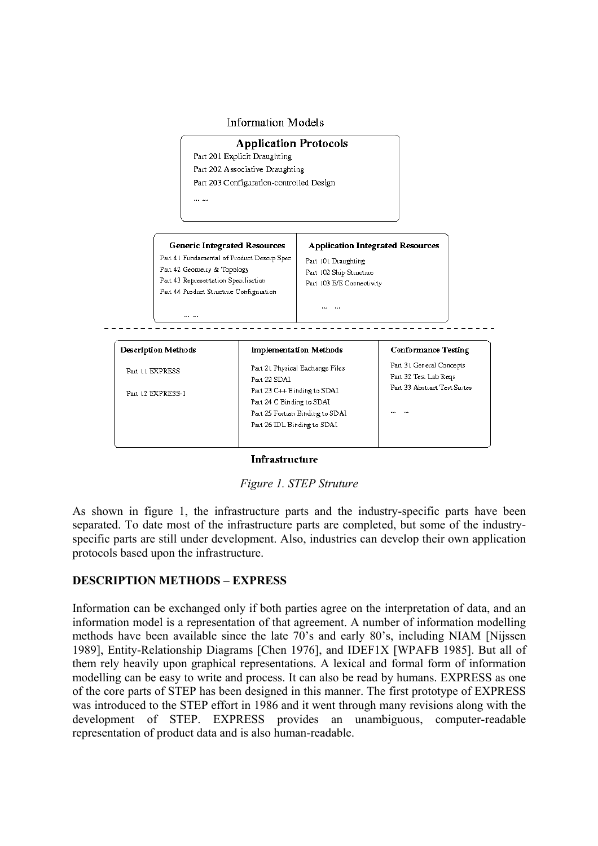



#### **Infrastructure**

*Figure 1. STEP Struture* 

As shown in figure 1, the infrastructure parts and the industry-specific parts have been separated. To date most of the infrastructure parts are completed, but some of the industryspecific parts are still under development. Also, industries can develop their own application protocols based upon the infrastructure.

#### **DESCRIPTION METHODS – EXPRESS**

Information can be exchanged only if both parties agree on the interpretation of data, and an information model is a representation of that agreement. A number of information modelling methods have been available since the late 70's and early 80's, including NIAM [Nijssen 1989], Entity-Relationship Diagrams [Chen 1976], and IDEF1X [WPAFB 1985]. But all of them rely heavily upon graphical representations. A lexical and formal form of information modelling can be easy to write and process. It can also be read by humans. EXPRESS as one of the core parts of STEP has been designed in this manner. The first prototype of EXPRESS was introduced to the STEP effort in 1986 and it went through many revisions along with the development of STEP. EXPRESS provides an unambiguous, computer-readable representation of product data and is also human-readable.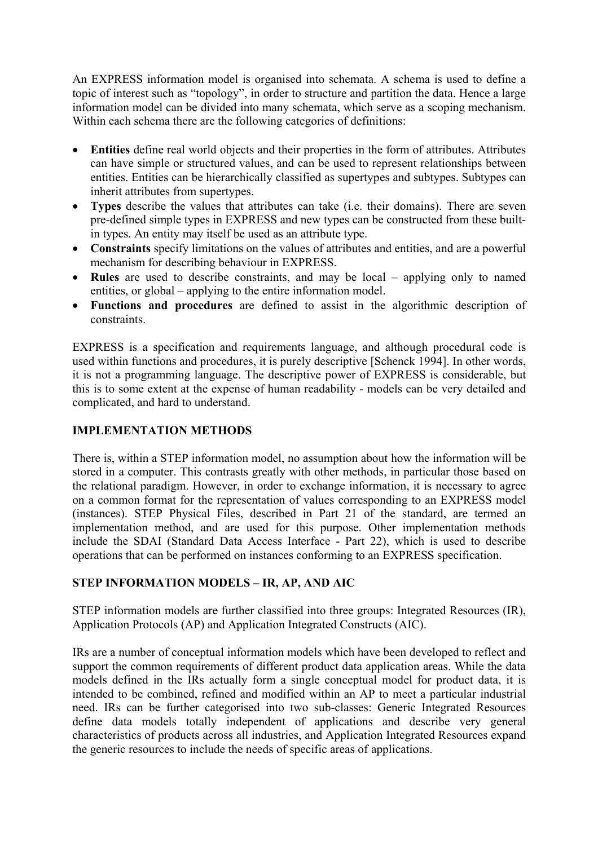An EXPRESS information model is organised into schemata. A schema is used to define a topic of interest such as "topology", in order to structure and partition the data. Hence a large information model can be divided into many schemata, which serve as a scoping mechanism. Within each schema there are the following categories of definitions:

- **Entities** define real world objects and their properties in the form of attributes. Attributes can have simple or structured values, and can be used to represent relationships between entities. Entities can be hierarchically classified as supertypes and subtypes. Subtypes can inherit attributes from supertypes.
- **Types** describe the values that attributes can take (i.e. their domains). There are seven pre-defined simple types in EXPRESS and new types can be constructed from these builtin types. An entity may itself be used as an attribute type.
- **Constraints** specify limitations on the values of attributes and entities, and are a powerful mechanism for describing behaviour in EXPRESS.
- **Rules** are used to describe constraints, and may be local applying only to named entities, or global – applying to the entire information model.
- **Functions and procedures** are defined to assist in the algorithmic description of constraints.

EXPRESS is a specification and requirements language, and although procedural code is used within functions and procedures, it is purely descriptive [Schenck 1994]. In other words, it is not a programming language. The descriptive power of EXPRESS is considerable, but this is to some extent at the expense of human readability - models can be very detailed and complicated, and hard to understand.

## **IMPLEMENTATION METHODS**

There is, within a STEP information model, no assumption about how the information will be stored in a computer. This contrasts greatly with other methods, in particular those based on the relational paradigm. However, in order to exchange information, it is necessary to agree on a common format for the representation of values corresponding to an EXPRESS model (instances). STEP Physical Files, described in Part 21 of the standard, are termed an implementation method, and are used for this purpose. Other implementation methods include the SDAI (Standard Data Access Interface - Part 22), which is used to describe operations that can be performed on instances conforming to an EXPRESS specification.

## **STEP INFORMATION MODELS – IR, AP, AND AIC**

STEP information models are further classified into three groups: Integrated Resources (IR), Application Protocols (AP) and Application Integrated Constructs (AIC).

IRs are a number of conceptual information models which have been developed to reflect and support the common requirements of different product data application areas. While the data models defined in the IRs actually form a single conceptual model for product data, it is intended to be combined, refined and modified within an AP to meet a particular industrial need. IRs can be further categorised into two sub-classes: Generic Integrated Resources define data models totally independent of applications and describe very general characteristics of products across all industries, and Application Integrated Resources expand the generic resources to include the needs of specific areas of applications.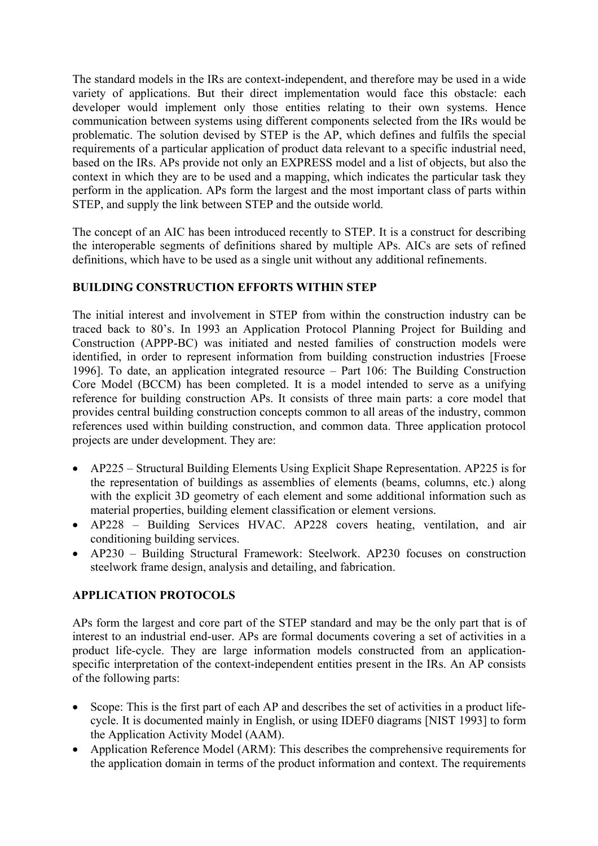The standard models in the IRs are context-independent, and therefore may be used in a wide variety of applications. But their direct implementation would face this obstacle: each developer would implement only those entities relating to their own systems. Hence communication between systems using different components selected from the IRs would be problematic. The solution devised by STEP is the AP, which defines and fulfils the special requirements of a particular application of product data relevant to a specific industrial need, based on the IRs. APs provide not only an EXPRESS model and a list of objects, but also the context in which they are to be used and a mapping, which indicates the particular task they perform in the application. APs form the largest and the most important class of parts within STEP, and supply the link between STEP and the outside world.

The concept of an AIC has been introduced recently to STEP. It is a construct for describing the interoperable segments of definitions shared by multiple APs. AICs are sets of refined definitions, which have to be used as a single unit without any additional refinements.

#### **BUILDING CONSTRUCTION EFFORTS WITHIN STEP**

The initial interest and involvement in STEP from within the construction industry can be traced back to 80's. In 1993 an Application Protocol Planning Project for Building and Construction (APPP-BC) was initiated and nested families of construction models were identified, in order to represent information from building construction industries [Froese 1996]. To date, an application integrated resource – Part 106: The Building Construction Core Model (BCCM) has been completed. It is a model intended to serve as a unifying reference for building construction APs. It consists of three main parts: a core model that provides central building construction concepts common to all areas of the industry, common references used within building construction, and common data. Three application protocol projects are under development. They are:

- AP225 Structural Building Elements Using Explicit Shape Representation. AP225 is for the representation of buildings as assemblies of elements (beams, columns, etc.) along with the explicit 3D geometry of each element and some additional information such as material properties, building element classification or element versions.
- AP228 Building Services HVAC. AP228 covers heating, ventilation, and air conditioning building services.
- AP230 Building Structural Framework: Steelwork. AP230 focuses on construction steelwork frame design, analysis and detailing, and fabrication.

## **APPLICATION PROTOCOLS**

APs form the largest and core part of the STEP standard and may be the only part that is of interest to an industrial end-user. APs are formal documents covering a set of activities in a product life-cycle. They are large information models constructed from an applicationspecific interpretation of the context-independent entities present in the IRs. An AP consists of the following parts:

- Scope: This is the first part of each AP and describes the set of activities in a product lifecycle. It is documented mainly in English, or using IDEF0 diagrams [NIST 1993] to form the Application Activity Model (AAM).
- Application Reference Model (ARM): This describes the comprehensive requirements for the application domain in terms of the product information and context. The requirements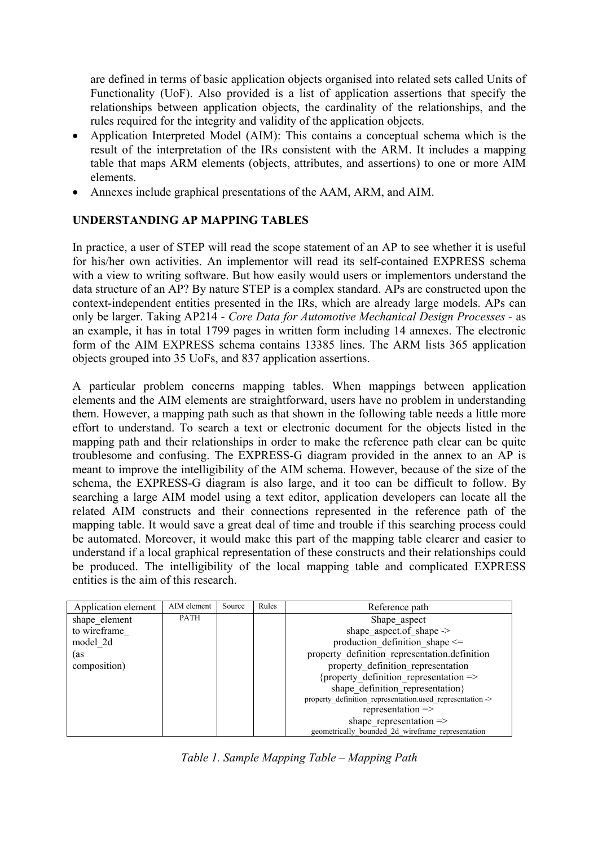are defined in terms of basic application objects organised into related sets called Units of Functionality (UoF). Also provided is a list of application assertions that specify the relationships between application objects, the cardinality of the relationships, and the rules required for the integrity and validity of the application objects.

- Application Interpreted Model (AIM): This contains a conceptual schema which is the result of the interpretation of the IRs consistent with the ARM. It includes a mapping table that maps ARM elements (objects, attributes, and assertions) to one or more AIM elements.
- Annexes include graphical presentations of the AAM, ARM, and AIM.

#### **UNDERSTANDING AP MAPPING TABLES**

In practice, a user of STEP will read the scope statement of an AP to see whether it is useful for his/her own activities. An implementor will read its self-contained EXPRESS schema with a view to writing software. But how easily would users or implementors understand the data structure of an AP? By nature STEP is a complex standard. APs are constructed upon the context-independent entities presented in the IRs, which are already large models. APs can only be larger. Taking AP214 - *Core Data for Automotive Mechanical Design Processes -* as an example, it has in total 1799 pages in written form including 14 annexes. The electronic form of the AIM EXPRESS schema contains 13385 lines. The ARM lists 365 application objects grouped into 35 UoFs, and 837 application assertions.

A particular problem concerns mapping tables. When mappings between application elements and the AIM elements are straightforward, users have no problem in understanding them. However, a mapping path such as that shown in the following table needs a little more effort to understand. To search a text or electronic document for the objects listed in the mapping path and their relationships in order to make the reference path clear can be quite troublesome and confusing. The EXPRESS-G diagram provided in the annex to an AP is meant to improve the intelligibility of the AIM schema. However, because of the size of the schema, the EXPRESS-G diagram is also large, and it too can be difficult to follow. By searching a large AIM model using a text editor, application developers can locate all the related AIM constructs and their connections represented in the reference path of the mapping table. It would save a great deal of time and trouble if this searching process could be automated. Moreover, it would make this part of the mapping table clearer and easier to understand if a local graphical representation of these constructs and their relationships could be produced. The intelligibility of the local mapping table and complicated EXPRESS entities is the aim of this research.

| Application element | AIM element | Source | Rules | Reference path                                            |
|---------------------|-------------|--------|-------|-----------------------------------------------------------|
| shape element       | <b>PATH</b> |        |       | Shape aspect                                              |
| to wireframe        |             |        |       | shape aspect of shape $\rightarrow$                       |
| model 2d            |             |        |       | production definition shape $\leq$                        |
| (as                 |             |        |       | property_definition_representation.definition             |
| composition)        |             |        |       | property definition representation                        |
|                     |             |        |       | {property definition representation $\Rightarrow$         |
|                     |             |        |       | shape definition representation}                          |
|                     |             |        |       | property_definition_representation.used_representation -> |
|                     |             |        |       | representation $\Rightarrow$                              |
|                     |             |        |       | shape representation $\Rightarrow$                        |
|                     |             |        |       | geometrically bounded 2d wireframe representation         |

*Table 1. Sample Mapping Table – Mapping Path*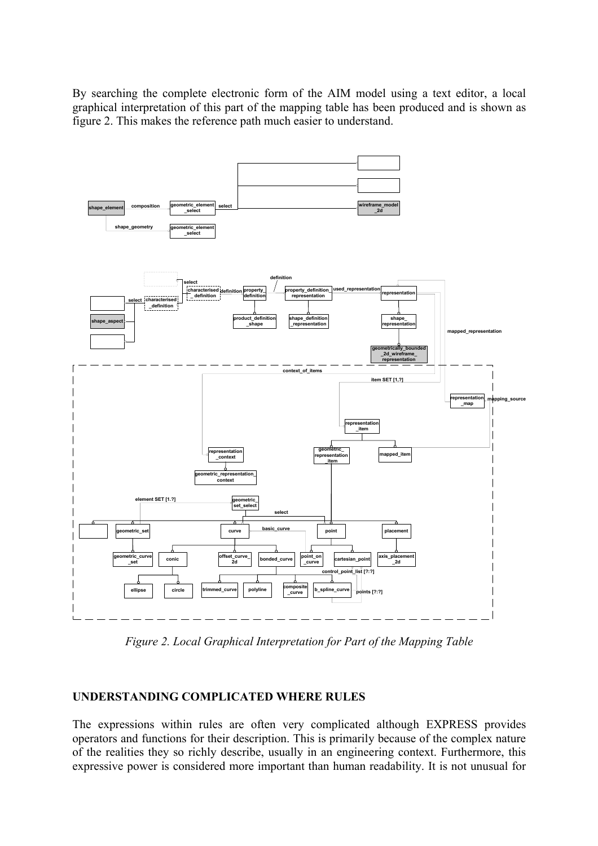By searching the complete electronic form of the AIM model using a text editor, a local graphical interpretation of this part of the mapping table has been produced and is shown as figure 2. This makes the reference path much easier to understand.



*Figure 2. Local Graphical Interpretation for Part of the Mapping Table* 

#### **UNDERSTANDING COMPLICATED WHERE RULES**

The expressions within rules are often very complicated although EXPRESS provides operators and functions for their description. This is primarily because of the complex nature of the realities they so richly describe, usually in an engineering context. Furthermore, this expressive power is considered more important than human readability. It is not unusual for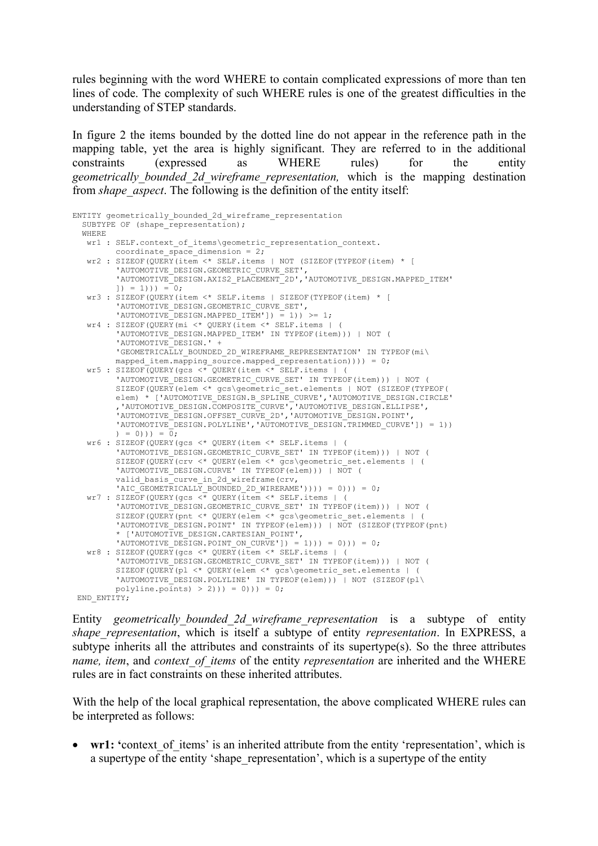rules beginning with the word WHERE to contain complicated expressions of more than ten lines of code. The complexity of such WHERE rules is one of the greatest difficulties in the understanding of STEP standards.

In figure 2 the items bounded by the dotted line do not appear in the reference path in the mapping table, yet the area is highly significant. They are referred to in the additional constraints (expressed as WHERE rules) for the entity *geometrically\_bounded\_2d\_wireframe\_representation,* which is the mapping destination from *shape* aspect. The following is the definition of the entity itself:

```
ENTITY geometrically_bounded_2d_wireframe_representation 
SUBTYPE OF (shape representation);
  WHERE 
  wr1 : SELF.context_of_items\geometric_representation_context. 
        coordinate space dimension = 2;
   wr2 : SIZEOF(QUERY(item <* SELF.items | NOT (SIZEOF(TYPEOF(item) * [ 
         'AUTOMOTIVE_DESIGN.GEOMETRIC_CURVE_SET', 
         'AUTOMOTIVE_DESIGN.AXIS2_PLACEMENT_2D','AUTOMOTIVE_DESIGN.MAPPED_ITEM' 
        | ) = 1))) = 0;
  wr3 : SIZEOF(QUERY(item <* SELF.items | SIZEOF(TYPEOF(item) * [
         'AUTOMOTIVE_DESIGN.GEOMETRIC_CURVE_SET', 
        'AUTOMOTIVE DESIGN.MAPPED ITEM']) = 1)) >= 1;
  wr4 : SIZEOF(QUERY(mi <* QUERY(item <* SELF.items | (
         'AUTOMOTIVE_DESIGN.MAPPED_ITEM' IN TYPEOF(item))) | NOT ( 
        'AUTOMOTIVE<sup>L</sup>DESIGN.' +
         'GEOMETRICALLY_BOUNDED_2D_WIREFRAME_REPRESENTATION' IN TYPEOF(mi\ 
       mapped item.mapping source.mapped representation)))) = 0;
  wr5 : SIZEOF(OUERY(gcs <* OUERY(item <* SELF.items | (
         'AUTOMOTIVE_DESIGN.GEOMETRIC_CURVE_SET' IN TYPEOF(item))) | NOT ( 
         SIZEOF(QUERY(elem <* gcs\geometric_set.elements | NOT (SIZEOF(TYPEOF( 
         elem) * ['AUTOMOTIVE_DESIGN.B_SPLINE_CURVE','AUTOMOTIVE_DESIGN.CIRCLE' 
,'AUTOMOTIVE_DESIGN.COMPOSITE_CURVE','AUTOMOTIVE_DESIGN.ELLIPSE', 
'AUTOMOTIVE_DESIGN.OFFSET_CURVE_2D','AUTOMOTIVE_DESIGN.POINT', 
        'AUTOMOTIVE_DESIGN.POLYLINE','AUTOMOTIVE DESIGN.TRIMMED CURVE']) = 1))
        ) = 0))) = \overline{0};
   wr6 : SIZEOF(QUERY(gcs <* QUERY(item <* SELF.items | ( 
         'AUTOMOTIVE_DESIGN.GEOMETRIC_CURVE_SET' IN TYPEOF(item))) | NOT ( 
         SIZEOF(QUERY(crv <* QUERY(elem <* gcs\geometric_set.elements | ( 
        'AUTOMOTIVE_DESIGN.CURVE' IN TYPEOF(elem))) | NOT (
        valid_basis_curve_in_2d_wireframe(crv,
        'AIC GEOMETRICALLY BOUNDED 2D WIRERAME')))) = 0))) = 0;
   wr7 : SIZEOF(QUERY(gcs <* QUERY(item <* SELF.items | ( 
         'AUTOMOTIVE_DESIGN.GEOMETRIC_CURVE_SET' IN TYPEOF(item))) | NOT ( 
        SIZEOF(QUERY(pnt <* QUERY(elem <* gcs\geometric set.elements | (
        'AUTOMOTIVE DESIGN.POINT' IN TYPEOF(elem))) | NOT (SIZEOF(TYPEOF(pnt)
         * ['AUTOMOTIVE_DESIGN.CARTESIAN_POINT', 
        'AUTOMOTIVE DESIGN.POINT ON CURVE']) = 1))) = 0))) = 0;
   wr8 : SIZEOF(QUERY(gcs <* QUERY(item <* SELF.items | ( 
         'AUTOMOTIVE_DESIGN.GEOMETRIC_CURVE_SET' IN TYPEOF(item))) | NOT ( 
         SIZEOF(QUERY(pl <* QUERY(elem <* gcs\geometric_set.elements | ( 
        'AUTOMOTIVE DESIGN.POLYLINE' IN TYPEOF(elem))) | NOT (SIZEOF(pl\
        polyline.points > 2))) = 0)) = 0;
END_ENTITY;
```
Entity *geometrically\_bounded\_2d\_wireframe\_representation* is a subtype of entity *shape\_representation*, which is itself a subtype of entity *representation*. In EXPRESS, a subtype inherits all the attributes and constraints of its supertype(s). So the three attributes *name, item*, and *context\_of\_items* of the entity *representation* are inherited and the WHERE rules are in fact constraints on these inherited attributes.

With the help of the local graphical representation, the above complicated WHERE rules can be interpreted as follows:

wr1: 'context of items' is an inherited attribute from the entity 'representation', which is a supertype of the entity 'shape representation', which is a supertype of the entity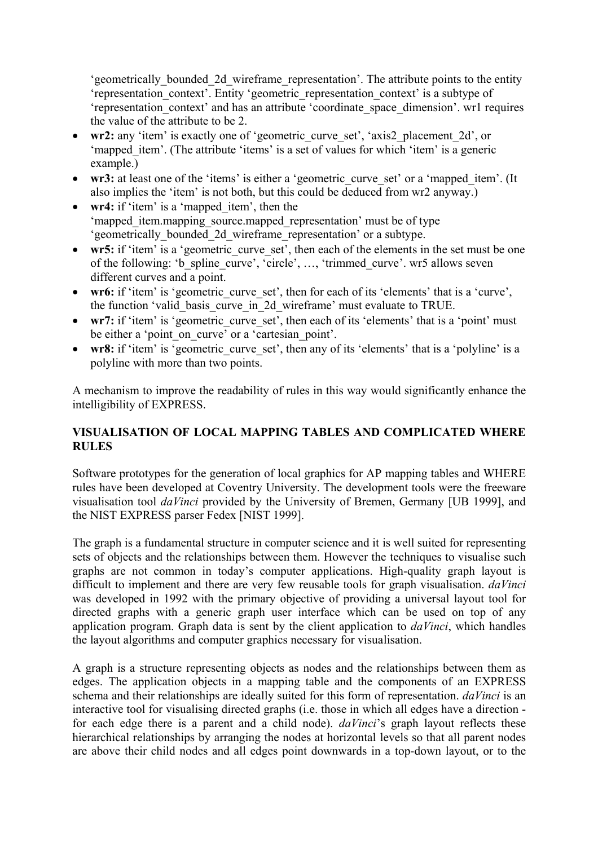'geometrically\_bounded\_2d\_wireframe\_representation'. The attribute points to the entity 'representation\_context'. Entity 'geometric\_representation\_context' is a subtype of 'representation\_context' and has an attribute 'coordinate\_space\_dimension'. wr1 requires the value of the attribute to be 2.

- wr2: any 'item' is exactly one of 'geometric curve set', 'axis2 placement 2d', or 'mapped item'. (The attribute 'items' is a set of values for which 'item' is a generic example.)
- wr3: at least one of the 'items' is either a 'geometric curve set' or a 'mapped item'. (It also implies the 'item' is not both, but this could be deduced from wr2 anyway.)
- **wr4:** if 'item' is a 'mapped item', then the 'mapped\_item.mapping\_source.mapped\_representation' must be of type 'geometrically\_bounded\_2d\_wireframe\_representation' or a subtype.
- wr5: if 'item' is a 'geometric curve set', then each of the elements in the set must be one of the following: 'b\_spline\_curve', 'circle', …, 'trimmed\_curve'. wr5 allows seven different curves and a point.
- wr6: if 'item' is 'geometric curve set', then for each of its 'elements' that is a 'curve', the function 'valid basis curve in 2d wireframe' must evaluate to TRUE.
- **wr7:** if 'item' is 'geometric curve set', then each of its 'elements' that is a 'point' must be either a 'point on curve' or a 'cartesian point'.
- wr8: if 'item' is 'geometric curve set', then any of its 'elements' that is a 'polyline' is a polyline with more than two points.

A mechanism to improve the readability of rules in this way would significantly enhance the intelligibility of EXPRESS.

#### **VISUALISATION OF LOCAL MAPPING TABLES AND COMPLICATED WHERE RULES**

Software prototypes for the generation of local graphics for AP mapping tables and WHERE rules have been developed at Coventry University. The development tools were the freeware visualisation tool *daVinci* provided by the University of Bremen, Germany [UB 1999], and the NIST EXPRESS parser Fedex [NIST 1999].

The graph is a fundamental structure in computer science and it is well suited for representing sets of objects and the relationships between them. However the techniques to visualise such graphs are not common in today's computer applications. High-quality graph layout is difficult to implement and there are very few reusable tools for graph visualisation. *daVinci* was developed in 1992 with the primary objective of providing a universal layout tool for directed graphs with a generic graph user interface which can be used on top of any application program. Graph data is sent by the client application to *daVinci*, which handles the layout algorithms and computer graphics necessary for visualisation.

A graph is a structure representing objects as nodes and the relationships between them as edges. The application objects in a mapping table and the components of an EXPRESS schema and their relationships are ideally suited for this form of representation. *daVinci* is an interactive tool for visualising directed graphs (i.e. those in which all edges have a direction for each edge there is a parent and a child node). *daVinci*'s graph layout reflects these hierarchical relationships by arranging the nodes at horizontal levels so that all parent nodes are above their child nodes and all edges point downwards in a top-down layout, or to the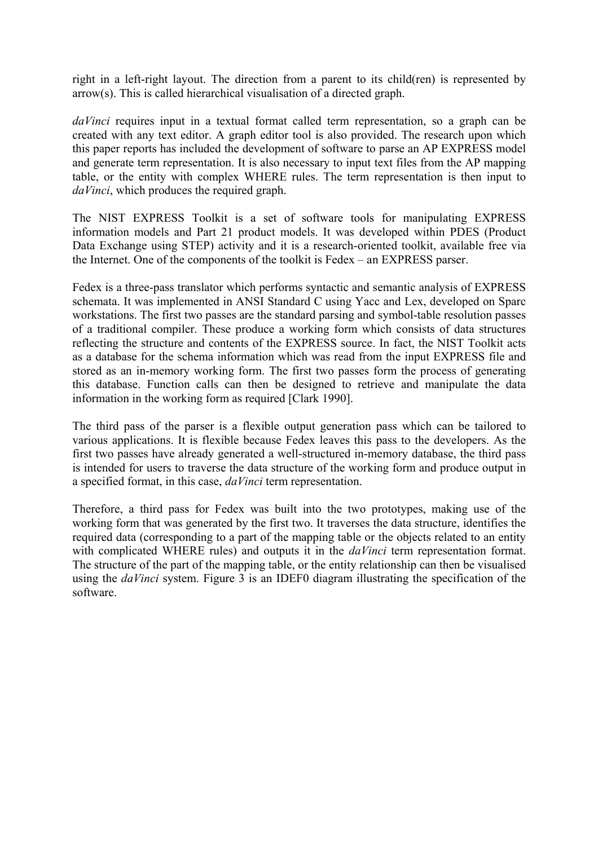right in a left-right layout. The direction from a parent to its child(ren) is represented by arrow(s). This is called hierarchical visualisation of a directed graph.

*daVinci* requires input in a textual format called term representation, so a graph can be created with any text editor. A graph editor tool is also provided. The research upon which this paper reports has included the development of software to parse an AP EXPRESS model and generate term representation. It is also necessary to input text files from the AP mapping table, or the entity with complex WHERE rules. The term representation is then input to *daVinci*, which produces the required graph.

The NIST EXPRESS Toolkit is a set of software tools for manipulating EXPRESS information models and Part 21 product models. It was developed within PDES (Product Data Exchange using STEP) activity and it is a research-oriented toolkit, available free via the Internet. One of the components of the toolkit is Fedex – an EXPRESS parser.

Fedex is a three-pass translator which performs syntactic and semantic analysis of EXPRESS schemata. It was implemented in ANSI Standard C using Yacc and Lex, developed on Sparc workstations. The first two passes are the standard parsing and symbol-table resolution passes of a traditional compiler. These produce a working form which consists of data structures reflecting the structure and contents of the EXPRESS source. In fact, the NIST Toolkit acts as a database for the schema information which was read from the input EXPRESS file and stored as an in-memory working form. The first two passes form the process of generating this database. Function calls can then be designed to retrieve and manipulate the data information in the working form as required [Clark 1990].

The third pass of the parser is a flexible output generation pass which can be tailored to various applications. It is flexible because Fedex leaves this pass to the developers. As the first two passes have already generated a well-structured in-memory database, the third pass is intended for users to traverse the data structure of the working form and produce output in a specified format, in this case, *daVinci* term representation.

Therefore, a third pass for Fedex was built into the two prototypes, making use of the working form that was generated by the first two. It traverses the data structure, identifies the required data (corresponding to a part of the mapping table or the objects related to an entity with complicated WHERE rules) and outputs it in the *daVinci* term representation format. The structure of the part of the mapping table, or the entity relationship can then be visualised using the *daVinci* system. Figure 3 is an IDEF0 diagram illustrating the specification of the software.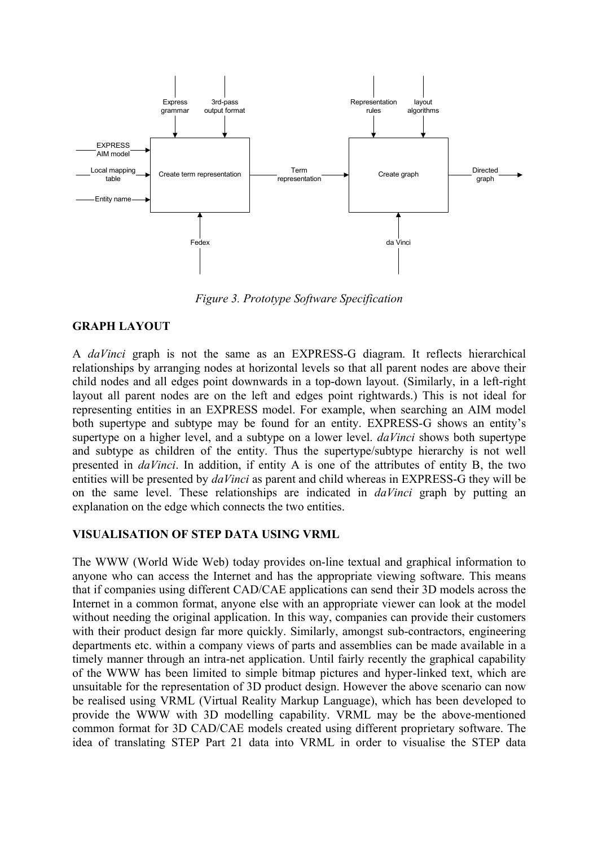

*Figure 3. Prototype Software Specification* 

#### **GRAPH LAYOUT**

A *daVinci* graph is not the same as an EXPRESS-G diagram. It reflects hierarchical relationships by arranging nodes at horizontal levels so that all parent nodes are above their child nodes and all edges point downwards in a top-down layout. (Similarly, in a left-right layout all parent nodes are on the left and edges point rightwards.) This is not ideal for representing entities in an EXPRESS model. For example, when searching an AIM model both supertype and subtype may be found for an entity. EXPRESS-G shows an entity's supertype on a higher level, and a subtype on a lower level. *daVinci* shows both supertype and subtype as children of the entity. Thus the supertype/subtype hierarchy is not well presented in *daVinci*. In addition, if entity A is one of the attributes of entity B, the two entities will be presented by *daVinci* as parent and child whereas in EXPRESS-G they will be on the same level. These relationships are indicated in *daVinci* graph by putting an explanation on the edge which connects the two entities.

#### **VISUALISATION OF STEP DATA USING VRML**

The WWW (World Wide Web) today provides on-line textual and graphical information to anyone who can access the Internet and has the appropriate viewing software. This means that if companies using different CAD/CAE applications can send their 3D models across the Internet in a common format, anyone else with an appropriate viewer can look at the model without needing the original application. In this way, companies can provide their customers with their product design far more quickly. Similarly, amongst sub-contractors, engineering departments etc. within a company views of parts and assemblies can be made available in a timely manner through an intra-net application. Until fairly recently the graphical capability of the WWW has been limited to simple bitmap pictures and hyper-linked text, which are unsuitable for the representation of 3D product design. However the above scenario can now be realised using VRML (Virtual Reality Markup Language), which has been developed to provide the WWW with 3D modelling capability. VRML may be the above-mentioned common format for 3D CAD/CAE models created using different proprietary software. The idea of translating STEP Part 21 data into VRML in order to visualise the STEP data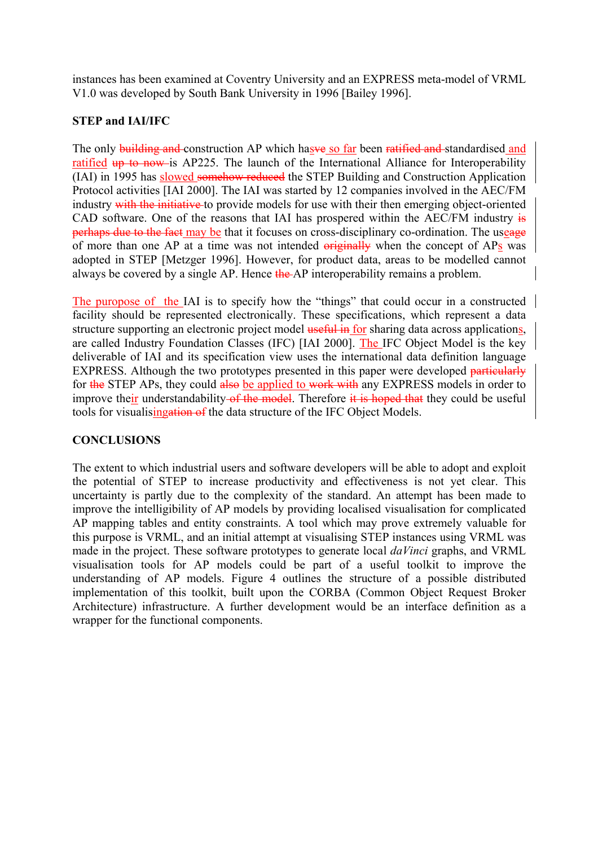instances has been examined at Coventry University and an EXPRESS meta-model of VRML V1.0 was developed by South Bank University in 1996 [Bailey 1996].

### **STEP and IAI/IFC**

The only building and construction AP which hasve so far been ratified and standardised and ratified up to now is AP225. The launch of the International Alliance for Interoperability (IAI) in 1995 has slowed somehow reduced the STEP Building and Construction Application Protocol activities [IAI 2000]. The IAI was started by 12 companies involved in the AEC/FM industry with the initiative to provide models for use with their then emerging object-oriented CAD software. One of the reasons that IAI has prospered within the AEC/FM industry  $\frac{1}{15}$ perhaps due to the fact may be that it focuses on cross-disciplinary co-ordination. The useage of more than one AP at a time was not intended originally when the concept of APs was adopted in STEP [Metzger 1996]. However, for product data, areas to be modelled cannot always be covered by a single AP. Hence the AP interoperability remains a problem.

The puropose of the IAI is to specify how the "things" that could occur in a constructed facility should be represented electronically. These specifications, which represent a data structure supporting an electronic project model useful in for sharing data across applications, are called Industry Foundation Classes (IFC) [IAI 2000]. The IFC Object Model is the key deliverable of IAI and its specification view uses the international data definition language EXPRESS. Although the two prototypes presented in this paper were developed particularly for the STEP APs, they could also be applied to work with any EXPRESS models in order to improve their understandability of the model. Therefore it is hoped that they could be useful tools for visualisingation of the data structure of the IFC Object Models.

#### **CONCLUSIONS**

The extent to which industrial users and software developers will be able to adopt and exploit the potential of STEP to increase productivity and effectiveness is not yet clear. This uncertainty is partly due to the complexity of the standard. An attempt has been made to improve the intelligibility of AP models by providing localised visualisation for complicated AP mapping tables and entity constraints. A tool which may prove extremely valuable for this purpose is VRML, and an initial attempt at visualising STEP instances using VRML was made in the project. These software prototypes to generate local *daVinci* graphs, and VRML visualisation tools for AP models could be part of a useful toolkit to improve the understanding of AP models. Figure 4 outlines the structure of a possible distributed implementation of this toolkit, built upon the CORBA (Common Object Request Broker Architecture) infrastructure. A further development would be an interface definition as a wrapper for the functional components.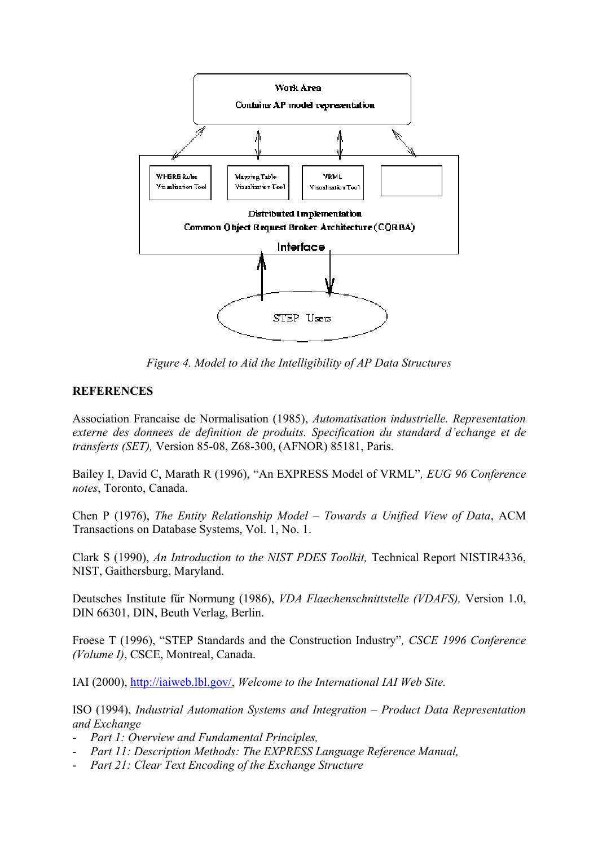

*Figure 4. Model to Aid the Intelligibility of AP Data Structures* 

### **REFERENCES**

Association Francaise de Normalisation (1985), *Automatisation industrielle. Representation externe des donnees de definition de produits. Specification du standard d'echange et de transferts (SET),* Version 85-08, Z68-300, (AFNOR) 85181, Paris.

Bailey I, David C, Marath R (1996), "An EXPRESS Model of VRML"*, EUG 96 Conference notes*, Toronto, Canada.

Chen P (1976), *The Entity Relationship Model – Towards a Unified View of Data*, ACM Transactions on Database Systems, Vol. 1, No. 1.

Clark S (1990), *An Introduction to the NIST PDES Toolkit,* Technical Report NISTIR4336, NIST, Gaithersburg, Maryland.

Deutsches Institute für Normung (1986), *VDA Flaechenschnittstelle (VDAFS),* Version 1.0, DIN 66301, DIN, Beuth Verlag, Berlin.

Froese T (1996), "STEP Standards and the Construction Industry"*, CSCE 1996 Conference (Volume I)*, CSCE, Montreal, Canada.

IAI (2000), http://iaiweb.lbl.gov/, *Welcome to the International IAI Web Site.* 

ISO (1994), *Industrial Automation Systems and Integration – Product Data Representation and Exchange* 

- *Part 1: Overview and Fundamental Principles,*
- *Part 11: Description Methods: The EXPRESS Language Reference Manual,*
- *Part 21: Clear Text Encoding of the Exchange Structure*